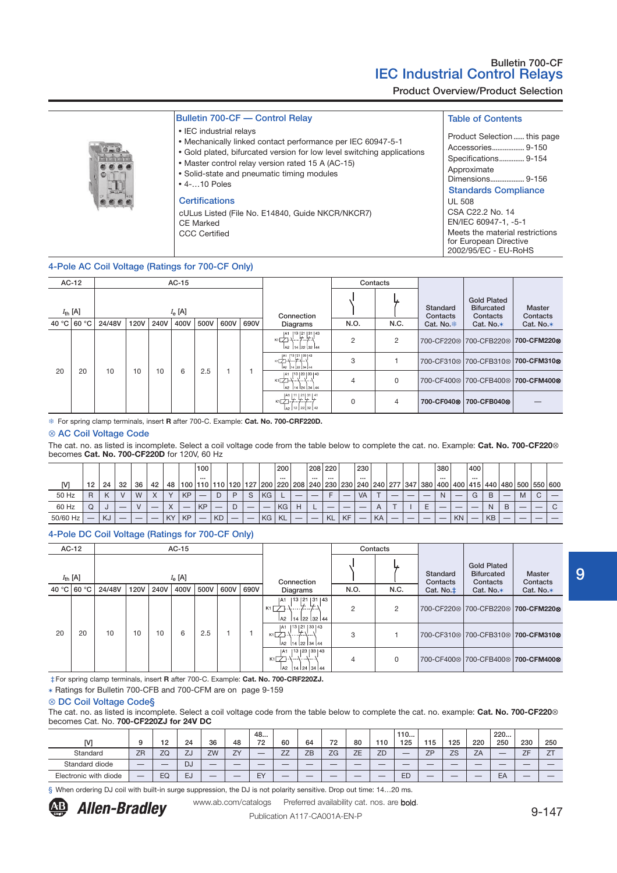Product Overview/Product Selection

|  | Bulletin 700-CF - Control Relay |  |
|--|---------------------------------|--|
|  |                                 |  |

- IEC industrial relays
- Mechanically linked contact performance per IEC 60947-5-1
- Gold plated, bifurcated version for low level switching applications
- Master control relay version rated 15 A (AC-15)
- Solid-state and pneumatic timing modules



#### **Certifications**

cULus Listed (File No. E14840, Guide NKCR/NKCR7) CE Marked CCC Certified

# Table of Contents

• Some-State and prieumatic timing modules<br>
• 4-...10 Poles<br>
Standards Compliance UL 508 CSA C22.2 No. 14 EN/IEC 60947-1, -5-1 Meets the material restrictions for European Directive 2002/95/EC - EU-RoHS Product Selection...... this page Accessories.................. 9-150 Specifications.............. 9-154 Approximate Dimensions.....

4-Pole AC Coil Voltage (Ratings for 700-CF Only)

|    | $AC-12$             |        |             |      | $AC-15$         |      |      |      |                                                                                                                                                              |          | Contacts       |                        |                                                     |                                    |
|----|---------------------|--------|-------------|------|-----------------|------|------|------|--------------------------------------------------------------------------------------------------------------------------------------------------------------|----------|----------------|------------------------|-----------------------------------------------------|------------------------------------|
|    | $I_{\text{th}}$ [A] |        |             |      | $I_{\rm e}$ [A] |      |      |      | Connection                                                                                                                                                   |          |                | Standard<br>Contacts   | <b>Gold Plated</b><br><b>Bifurcated</b><br>Contacts | Master<br>Contacts                 |
|    | 40 °C 60 °C         | 24/48V | <b>120V</b> | 240V | 400V            | 500V | 600V | 690V | Diagrams                                                                                                                                                     | N.O.     | N.C.           | Cat. No. *             | Cat. No. $*$                                        | Cat. No.*                          |
|    |                     |        |             |      |                 |      |      |      | 13 21 31 43<br> A1<br>кт∑-√….'≭'≠.∧<br>  A2   14   22   32   44                                                                                              | $\Omega$ | $\overline{2}$ |                        |                                                     | 700-CF220⊗ 700-CFB220⊗ 700-CFM220⊗ |
|    |                     |        |             |      |                 |      |      |      | A1   13   21   33   43<br>$K_1$ $\rightarrow$ $\rightarrow$ $\rightarrow$ $\rightarrow$ $\rightarrow$ $\rightarrow$ $\rightarrow$<br> a2   14   22   34   44 | 3        |                |                        |                                                     | 700-CF310⊗ 700-CFB310⊗ 700-CFM310⊗ |
| 20 | 20                  | 10     | 10          | 10   | 6               | 2.5  |      |      | A1  13  23   33   43<br>кт∑-⊹⊹⊹⊹⊣<br>14 24 34 44<br>A2                                                                                                       | 4        | 0              |                        |                                                     | 700-CF400⊗ 700-CFB400⊗ 700-CFM400⊗ |
|    |                     |        |             |      |                 |      |      |      | $[$ <sup>A1</sup> $[$ $]$ <sup>11</sup> $[$ $]$ <sup>21</sup> $[$ $]$ <sup>31</sup> $[$ $]$ <sup>41</sup><br>к1 77 7 7 7 7<br>A <sub>2</sub> 12 22 32 42     | $\Omega$ | 4              | 700-CF040 <sup>®</sup> | 700-CFB0408                                         |                                    |

For spring clamp terminals, insert **R** after 700-C. Example: **Cat. No. 700-CRF220D.**

#### ⊗ AC Coil Voltage Code

The cat. no. as listed is incomplete. Select a coil voltage code from the table below to complete the cat. no. Example: **Cat. No. 700-CF220**⊗ becomes **Cat. No. 700-CF220D** for 120V, 60 Hz

|          |    |               |    |    |              |           |           | 100                 |           |         |   |     | 200       |   | 208 220  |           |           | 230                                                                                                               |    |  | 380 |           | 400    |           |   |   |  |
|----------|----|---------------|----|----|--------------|-----------|-----------|---------------------|-----------|---------|---|-----|-----------|---|----------|-----------|-----------|-------------------------------------------------------------------------------------------------------------------|----|--|-----|-----------|--------|-----------|---|---|--|
| [V]      | 12 | 24            | 32 | 36 | 42           | 48        | 100       | $\cdots$<br>110 110 |           | 120 127 |   | 200 |           |   | $\cdots$ |           |           | <br>)   220   208   240   230   230   240   240   277   347   380   400   400   415   440   480   500   550   600 |    |  |     |           |        |           |   |   |  |
| 50 Hz    | R  | $\mathcal{L}$ |    | M  | $\checkmark$ | $\lambda$ | <b>KP</b> | _                   |           | D.      | S | KG. |           |   |          |           |           | <b>VA</b>                                                                                                         |    |  |     |           | $\sim$ | B         |   |   |  |
| 60 Hz    |    |               |    |    |              |           |           | <b>KP</b>           |           |         |   |     | KG.       | н |          |           |           | __                                                                                                                |    |  |     |           |        | N         | B | _ |  |
| 50/60 Hz |    | KJ            |    |    |              | KY        | <b>KP</b> |                     | <b>KD</b> |         | _ | KG  | <b>KL</b> |   | $-$      | <b>KL</b> | <b>KF</b> |                                                                                                                   | KA |  |     | <b>KN</b> |        | <b>KB</b> |   |   |  |

### 4-Pole DC Coil Voltage (Ratings for 700-CF Only)

|                     | AC-12       |        |      |      | $AC-15$   |      |      |      |                                                                                                     | Contacts       |      |                      |                                                                                     |                           |
|---------------------|-------------|--------|------|------|-----------|------|------|------|-----------------------------------------------------------------------------------------------------|----------------|------|----------------------|-------------------------------------------------------------------------------------|---------------------------|
| $I_{\text{th}}$ [A] |             |        |      |      | $I_e$ [A] |      |      |      | Connection                                                                                          |                |      | Standard<br>Contacts | <b>Gold Plated</b><br><b>Bifurcated</b><br>Contacts                                 | <b>Master</b><br>Contacts |
|                     | 40 °C 60 °C | 24/48V | 120V | 240V | 400V      | 500V | 600V | 690V | Diagrams                                                                                            | N.O.           | N.C. | Cat. No.‡            | Cat. No.*                                                                           | Cat. No.*                 |
|                     |             |        |      |      |           |      |      |      | 13   21   31   43<br>IA <sub>1</sub><br>↳<br>↳.<br>$K1$ $\Box$<br>/. <i>.</i><br>14 22 32 44<br> A2 | $\overline{2}$ | 2    |                      | 700-CF220 <sup>®</sup> 700-CFB220 <sup>®</sup> 700-CFM220 <sup>®</sup>              |                           |
| 20                  | 20          | 10     | 10   | 10   | 6         | 2.5  |      |      | 13   21   33   43<br>IA1<br>バーナバフ<br>$K1$ $\neg$<br>  A2   14   22   34   44                        | 3              |      |                      | 700-CF310⊗ 700-CFB310⊗ 700-CFM310⊗                                                  |                           |
|                     |             |        |      |      |           |      |      |      | 13   23   33   43<br>IA1<br>K1<br>----\----- <sup>1</sup><br>. <b>.</b><br>  A2   14   24   34   44 | 4              | 0    |                      | 700-CF400 <sup><math>\otimes</math></sup> 700-CFB400 $\otimes$ 700-CFM400 $\otimes$ |                           |

‡For spring clamp terminals, insert **R** after 700-C. Example: **Cat. No. 700-CRF220ZJ.**

✶ Ratings for Bulletin 700-CFB and 700-CFM are on page 9-159

#### ⊗ DC Coil Voltage Code§

The cat. no. as listed is incomplete. Select a coil voltage code from the table below to complete the cat. no. example: **Cat. No. 700-CF220**⊗ becomes Cat. No. **700-CF220ZJ for 24V DC**

|                       |                          |                          |           |                          |    | 48 |                          |    |    |          |                          | 110                      |     |           |     | 220 |                          |                |
|-----------------------|--------------------------|--------------------------|-----------|--------------------------|----|----|--------------------------|----|----|----------|--------------------------|--------------------------|-----|-----------|-----|-----|--------------------------|----------------|
| <b>N/T</b>            |                          | $12 \,$                  | 24        | 36                       | 48 | 72 | 60                       | 64 | 72 | 80       | 110                      | 125                      | 115 | 125       | 220 | 250 | 230                      | 250            |
| Standard              | <b>ZR</b>                | ZQ                       | ZJ        | ZW                       | ZY | _  | 77<br>–                  | ZB | ZG | フロ<br>ᅩᄂ | ZD                       | $\overline{\phantom{a}}$ | 7D  | <b>ZS</b> | ZA  | _   | フロ                       | 7T<br><u>_</u> |
| Standard diode        | $\overline{\phantom{a}}$ | $\overline{\phantom{a}}$ | <b>DJ</b> | $\overline{\phantom{a}}$ | _  | _  | $\overline{\phantom{a}}$ | _  | _  | _        | $\overline{\phantom{a}}$ | _                        | _   | _         |     | _   | _                        |                |
| Electronic with diode | $\overline{\phantom{a}}$ | EQ                       | <b>EJ</b> | $\overline{\phantom{a}}$ |    | EY | $\overline{\phantom{a}}$ | _  | _  | _        | $\overline{\phantom{a}}$ | <b>ED</b>                |     | _         |     | EA  | $\overline{\phantom{a}}$ |                |

§ When ordering DJ coil with built-in surge suppression, the DJ is not polarity sensitive. Drop out time: 14...20 ms.

www.ab.com/catalogs Preferred availability cat. nos. are bold.

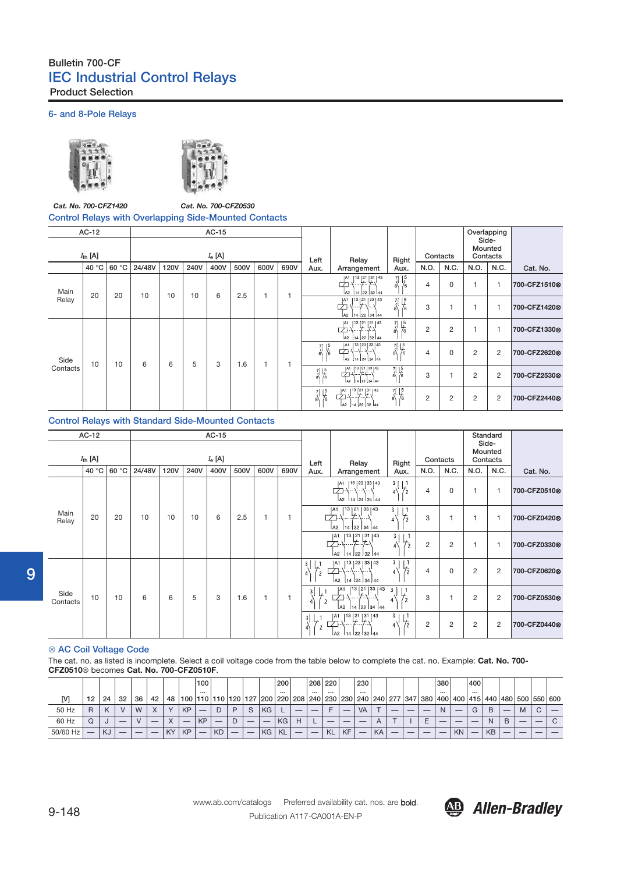# Bulletin 700-CF IEC Industrial Control Relays Product Selection

## 6- and 8-Pole Relays





### *Cat. No. 700-CFZ1420 Cat. No. 700-CFZ0530* Control Relays with Overlapping Side-Mounted Contacts

|          | AC-12<br>$I_{\text{th}}$ [A] |       |        |             |      | AC-15<br>$I_e$ [A] |      |      |      |                              |                                                                              |                                                   |                | Contacts |      | Overlapping<br>Side-<br>Mounted<br>Contacts |              |
|----------|------------------------------|-------|--------|-------------|------|--------------------|------|------|------|------------------------------|------------------------------------------------------------------------------|---------------------------------------------------|----------------|----------|------|---------------------------------------------|--------------|
|          | 40 °C                        | 60 °C | 24/48V | <b>120V</b> | 240V | 400V               | 500V | 600V | 690V | Left<br>Aux.                 | Relay<br>Arrangement                                                         | Right<br>Aux.                                     | N.O.           | N.C.     | N.O. | N.C.                                        | Cat. No.     |
| Main     | 20                           | 20    | 10     | 10          | 10   | 6                  | 2.5  | 1    |      |                              | 13   21   31   43<br> A1<br><u> 푸</u><br>プ⊩<br>14 22 32 44<br>A <sub>2</sub> | 71<br>$\frac{15}{6}$<br>۵\                        | 4              | 0        |      | 1                                           | 700-CFZ1510& |
| Relay    |                              |       |        |             |      |                    |      |      |      |                              | JA1 113 21 33 43<br>┵╌┵╌╌┷╌┙<br> A2  14  22  34  44                          | $\frac{7}{8}$ $\frac{15}{6}$                      | 3              |          |      | 1                                           | 700-CFZ14208 |
|          |                              |       |        |             |      |                    |      |      |      |                              | 13 21 31 43<br>لديرا .يرا  ان<br>la2<br>14 22 32 44                          | $\frac{7}{8}$ $\frac{15}{6}$                      | $\overline{2}$ | 2        |      | 1                                           | 700-CFZ13308 |
| Side     | 10                           |       | 6      | 6           | 5    | 3                  |      | 1    |      | $\frac{15}{6}$<br>7<br>a\    | A1   13   23   33   43<br>\\\\\\<br>A <sub>2</sub><br>14   24   34   44      | $\frac{7}{8}$ $\frac{15}{6}$                      | 4              | 0        | 2    | 2                                           | 700-CFZ26200 |
| Contacts |                              | 10    |        |             |      |                    | 1.6  |      |      | $\frac{7}{8}$ $\frac{15}{6}$ | A1  13   21   33   43<br>中小 大 · 大<br>A2 14 22 34 44                          | $\begin{array}{c} 7 \ 1 \ 5 \\ 8 \ 6 \end{array}$ | 3              |          | 2    | 2                                           | 700-CFZ25308 |
|          |                              |       |        |             |      |                    |      |      |      | $\frac{7}{9}$ $\frac{15}{6}$ | A1  13  21   31   43<br><del>۱۰۰٬۰۰</del><br>la2<br>14 22 32 44              | $\frac{7}{8}$ $\frac{15}{6}$<br>8/                | 2              | 2        | 2    | $\overline{2}$                              | 700-CFZ24408 |

## Control Relays with Standard Side-Mounted Contacts

|                  | AC-12<br>$I_{\text{th}}$ [A] |       |        |             |      | AC-15<br>$I_e$ [A] |      |                |      | Left                                  | Relay                                                                         | Right                                                   |                | Contacts       | Side-          | Standard<br>Mounted<br>Contacts |              |
|------------------|------------------------------|-------|--------|-------------|------|--------------------|------|----------------|------|---------------------------------------|-------------------------------------------------------------------------------|---------------------------------------------------------|----------------|----------------|----------------|---------------------------------|--------------|
|                  | 40 °C                        | 60 °C | 24/48V | <b>120V</b> | 240V | 400V               | 500V | 600V           | 690V | Aux.                                  | Arrangement                                                                   | Aux.                                                    | N.O.           | N.C.           | N.O.           | N.C.                            | Cat. No.     |
|                  |                              |       |        |             |      |                    |      |                |      |                                       | A1   13   23   33   43<br>r<br>la2<br>14 24 34 44                             | 3 <sub>1</sub><br>$\frac{1}{2}$<br>$4\%$                | 4              | 0              |                | $\overline{1}$                  | 700-CFZ0510& |
| Main<br>Relay    | 20                           | 20    | 10     | 10          | 10   | 6                  | 2.5  | 1              |      |                                       | 13   21   33   43<br>IA1<br>اد اد ۲<br> 14   22   34   44<br>A <sub>2</sub>   | 3 <sub>1</sub><br>L.<br>$^{\prime}$ 2<br>$\overline{4}$ | 3              | 1              |                | $\mathbf{1}$                    | 700-CFZ0420& |
|                  |                              |       |        |             |      |                    |      |                |      |                                       | 13 (21 ) 31   43<br> A1<br>$+ - -$<br>  14   22   32   44<br>la2              | 3 <sub>1</sub><br>$\downarrow_2$<br>$_4\backslash$      | $\overline{2}$ | $\overline{2}$ |                | 1                               | 700-CFZ03308 |
|                  |                              |       |        |             |      |                    |      |                |      | 3<br>$\sqrt{4}$<br>$\overline{c}$     | 13   23   33   43<br><b>IA1</b><br>1----1----1<br>A2<br>14 24 34 44           | 3 <sub>1</sub><br>$\frac{1}{2}$<br>$4^{\circ}$          | 4              | 0              | $\overline{c}$ | $\overline{c}$                  | 700-CFZ06200 |
| Side<br>Contacts | 10                           | 10    | 6      | 6           | 5    | 3                  | 1.6  | $\overline{1}$ |      | 3 <sup>1</sup><br>$\overline{2}$<br>4 | [13   21   33   43<br>IA1<br>バー・エーバー<br> 22 <br>A <sub>2</sub><br>14<br>34 44 | 3<br>$\frac{1}{2}$<br>$\overline{4}$                    | 3              | 1              | $\overline{2}$ | 2                               | 700-CFZ0530& |
|                  |                              |       |        |             |      |                    |      |                |      | 3 <sup>1</sup><br>$\mathcal{L}$       | [13 ] 21 [ 31 ] 43<br>IA1<br>$\overline{ }$<br>la2<br>22 32 44<br>14          | 3 <sub>1</sub><br>$\frac{1}{2}$<br>4                    | $\overline{2}$ | $\overline{2}$ | 2              | 2                               | 700-CFZ0440& |

#### ⊗ AC Coil Voltage Code

The cat. no. as listed is incomplete. Select a coil voltage code from the table below to complete the cat. no. Example: **Cat. No. 700- CFZ0510**⊗ becomes **Cat. No. 700-CFZ0510F**.

|          |    |           |    |    |    |           |           | 100             |           |   |     |     | 200                                             |          | 208 220   |           | 230                     |    |   |                          |         | 380      |           | 400 |             |   |   |                 |
|----------|----|-----------|----|----|----|-----------|-----------|-----------------|-----------|---|-----|-----|-------------------------------------------------|----------|-----------|-----------|-------------------------|----|---|--------------------------|---------|----------|-----------|-----|-------------|---|---|-----------------|
| [V]      | 12 | 24        | 32 | 36 | 42 | 48        | 100       | $\cdots$<br>110 | 110 120   |   | 127 |     | $\cdots$<br>  200   220   208   240   230   230 | $\cdots$ | $\cdots$  |           | $\cdots$<br>240 240 277 |    |   | 347                      | 380 400 | $\cdots$ |           |     | 400 415 440 |   |   | 480 500 550 600 |
| 50 Hz    | R  |           |    | W  |    | $\lambda$ | <b>KP</b> | _               |           | D | S   | KG. |                                                 |          |           |           | <b>VA</b>               |    | _ | $\overline{\phantom{a}}$ |         | N.       |           | G   | B           | – | M |                 |
| 60 Hz    |    |           |    |    |    |           |           | KP              |           |   |     |     | KG                                              |          |           |           |                         |    |   |                          |         |          |           |     | N           | B |   | C               |
| 50/60 Hz |    | <b>KJ</b> |    |    |    | <b>KY</b> | <b>KP</b> | –               | <b>KD</b> | _ | —   | KG  | KL                                              |          | <b>KL</b> | <b>KF</b> | –                       | KA |   | $\overline{\phantom{a}}$ |         |          | <b>KN</b> |     | <b>KB</b>   | _ |   |                 |



9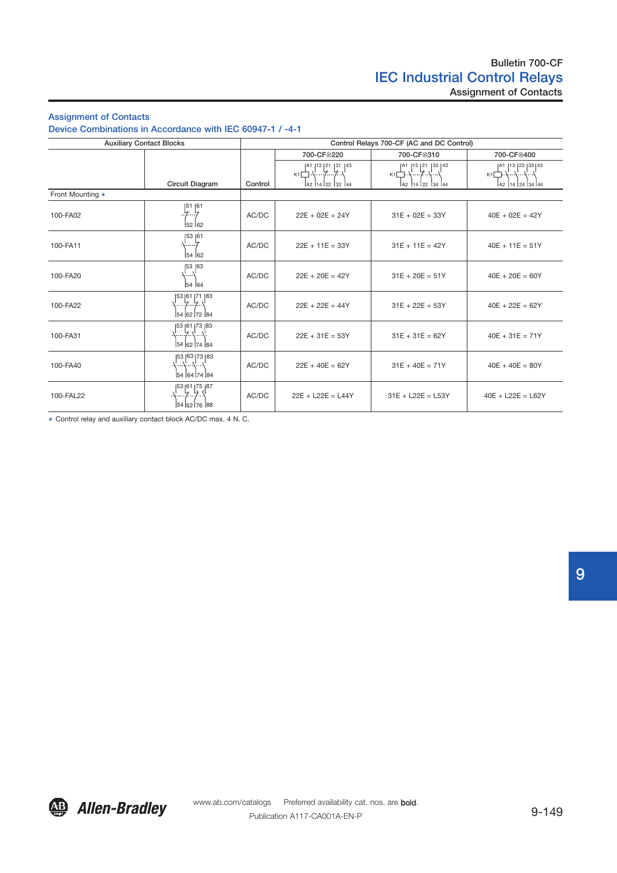# Bulletin 700-CF IEC Industrial Control Relays Assignment of Contacts

# Assignment of Contacts

Device Combinations in Accordance with IEC 60947-1 / -4-1

|                  | <b>Auxiliary Contact Blocks</b>             |         |                                                                                | Control Relays 700-CF (AC and DC Control)                           |                                                                   |
|------------------|---------------------------------------------|---------|--------------------------------------------------------------------------------|---------------------------------------------------------------------|-------------------------------------------------------------------|
|                  |                                             |         | 700-CF <sup>®220</sup>                                                         | 700-CF <sup>®310</sup>                                              | 700-CF8400                                                        |
|                  | Circuit Diagram                             | Control | A1  13  21  31  43<br><del>.</del> <del>.</del> \<br>K1<br> a2  14  22  32  44 | A1  13  21  33  43<br>. <del>. .</del><br>K1<br> a2  14  22  34  44 | A1  13  23  33  43<br>K1<br>----\----\----<br> A2  14  24  34  44 |
| Front Mounting * |                                             |         |                                                                                |                                                                     |                                                                   |
| 100-FA02         | [51 ] 61<br>52 62                           | AC/DC   | $22E + 02E = 24Y$                                                              | $31E + 02E = 33Y$                                                   | $40E + 02E = 42Y$                                                 |
| 100-FA11         | 153 61<br>∖……7<br>54 62                     | AC/DC   | $22E + 11E = 33Y$                                                              | $31E + 11E = 42Y$                                                   | $40E + 11E = 51Y$                                                 |
| 100-FA20         | 153 163<br>54 64                            | AC/DC   | $22E + 20E = 42Y$                                                              | $31E + 20E = 51Y$                                                   | $40E + 20E = 60Y$                                                 |
| 100-FA22         | 53   61   71   83<br>… ל…ל….<br>54 62 72 84 | AC/DC   | $22E + 22E = 44Y$                                                              | $31E + 22E = 53Y$                                                   | $40E + 22E = 62Y$                                                 |
| 100-FA31         | [53   61   73   83<br>54 62 74 84           | AC/DC   | $22E + 31E = 53Y$                                                              | $31E + 31E = 62Y$                                                   | $40E + 31E = 71Y$                                                 |
| 100-FA40         | 53   63   73   83<br>54 64 74 84            | AC/DC   | $22E + 40E = 62Y$                                                              | $31E + 40E = 71Y$                                                   | $40E + 40E = 80Y$                                                 |
| 100-FAL22        | 53  61  75  87<br>54 62 76 88               | AC/DC   | $22E + L22E = L44Y$                                                            | $31E + L22E = L53Y$                                                 | $40E + L22E = L62Y$                                               |

✶ Control relay and auxiliary contact block AC/DC max. 4 N. C.

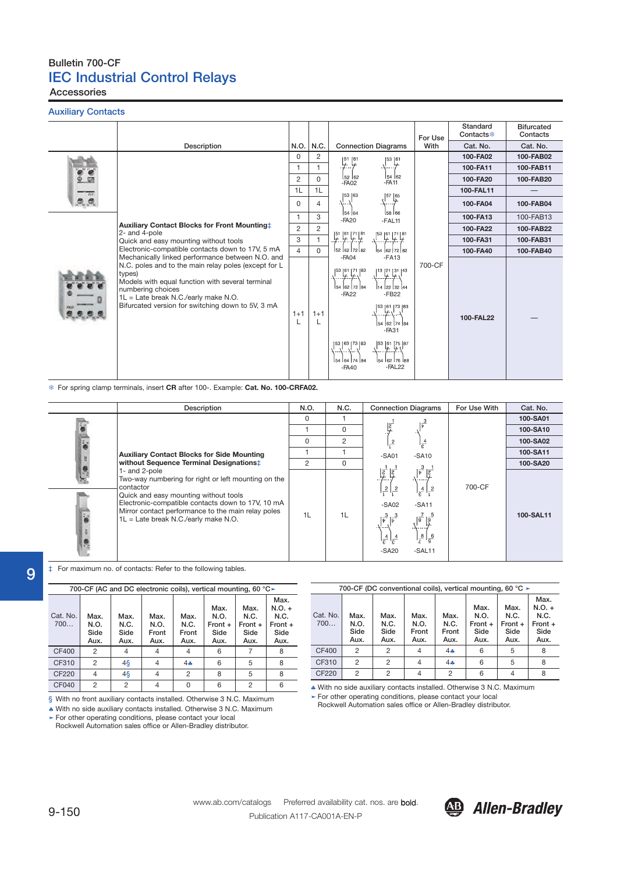Accessories

Auxiliary Contacts

|                |                                                                                                                                                                                                                                      |                |          |                                                                                                                                                                                                                                                                                                                                                                                                                   | For Use | Standard<br>Contacts <sup>®</sup> | <b>Bifurcated</b><br>Contacts |
|----------------|--------------------------------------------------------------------------------------------------------------------------------------------------------------------------------------------------------------------------------------|----------------|----------|-------------------------------------------------------------------------------------------------------------------------------------------------------------------------------------------------------------------------------------------------------------------------------------------------------------------------------------------------------------------------------------------------------------------|---------|-----------------------------------|-------------------------------|
|                | Description                                                                                                                                                                                                                          | N.O.           | N.C.     | <b>Connection Diagrams</b>                                                                                                                                                                                                                                                                                                                                                                                        | With    | Cat. No.                          | Cat. No.                      |
|                |                                                                                                                                                                                                                                      | 0              | 2        | $\frac{151}{7}$ $\frac{61}{7}$<br>[53]61                                                                                                                                                                                                                                                                                                                                                                          |         | 100-FA02                          | 100-FAB02                     |
|                |                                                                                                                                                                                                                                      | 1              |          | $\leftarrow$                                                                                                                                                                                                                                                                                                                                                                                                      |         | 100-FA11                          | 100-FAB11                     |
|                |                                                                                                                                                                                                                                      | $\overline{2}$ | 0        | 54 62<br>$152$ 62<br>$-FA11$<br>$-FAO2$                                                                                                                                                                                                                                                                                                                                                                           |         | 100-FA20                          | 100-FAB20                     |
|                |                                                                                                                                                                                                                                      | 1L             | 1L       | 53  63                                                                                                                                                                                                                                                                                                                                                                                                            |         | 100-FAL11                         |                               |
| $\overline{a}$ |                                                                                                                                                                                                                                      | 0              | 4        | $\left\{ \begin{matrix} 57 & 65 \\ 7 & 7 \end{matrix} \right\}$<br>オーバ                                                                                                                                                                                                                                                                                                                                            |         | 100-FA04                          | 100-FAB04                     |
|                |                                                                                                                                                                                                                                      | 1              | 3        | $\frac{1}{58}$ $66$<br>54 64<br>$-FA20$<br>$-FAL11$                                                                                                                                                                                                                                                                                                                                                               |         | 100-FA13                          | 100-FAB13                     |
|                | Auxiliary Contact Blocks for Front Mounting :<br>2- and 4-pole                                                                                                                                                                       | $\overline{2}$ | 2        |                                                                                                                                                                                                                                                                                                                                                                                                                   |         | 100-FA22                          | 100-FAB22                     |
|                | Quick and easy mounting without tools                                                                                                                                                                                                | 3              |          | $\frac{51}{4}$ $\frac{61}{4}$ $\frac{71}{4}$ $\frac{81}{4}$<br>$\frac{153}{2}$ $\frac{61}{2}$ $\frac{171}{2}$ $\frac{81}{2}$                                                                                                                                                                                                                                                                                      |         | 100-FA31                          | 100-FAB31                     |
|                | Electronic-compatible contacts down to 17V, 5 mA<br>Mechanically linked performance between N.O. and                                                                                                                                 | $\overline{4}$ | $\Omega$ | 52 62 72 82<br>54 62 72 82<br>$-FAO4$<br>$-FA13$                                                                                                                                                                                                                                                                                                                                                                  |         | 100-FA40                          | 100-FAB40                     |
|                | N.C. poles and to the main relay poles (except for L<br>types)<br>Models with equal function with several terminal<br>numbering choices<br>1L = Late break N.C./early make N.O.<br>Bifurcated version for switching down to 5V, 3 mA | $1 + 1$        | $1+1$    | $\left[\begin{smallmatrix} 53 & 61 & 71 & 83 \end{smallmatrix}\right]$<br>$\left[\begin{array}{c} 1^3 \\ 2^1 \end{array}\right]^{21}$<br>54 62 72 84<br>14 22 32 44<br>$-FA22$<br>$-FB22$<br>$\frac{1}{2}$ 53 [61 ] 73 [83]<br>54 62 74 84<br>$-FA31$<br>[53   63   73   83<br>$\left[\begin{matrix} 53 & 61 & 75 & 87 \ 7 & 7 & 87 \end{matrix}\right]$<br>154 162 176 188<br>54 64 74 84<br>$-FAL22$<br>$-FA40$ | 700-CF  | 100-FAL22                         |                               |

For spring clamp terminals, insert **CR** after 100-. Example: **Cat. No. 100-CRFA02.**

| Description                                                                                                                                                                                                                                                                   | N.O.           | N.C. | <b>Connection Diagrams</b>                                                                                                                                                                                                                                                                                                                      | For Use With | Cat. No.  |
|-------------------------------------------------------------------------------------------------------------------------------------------------------------------------------------------------------------------------------------------------------------------------------|----------------|------|-------------------------------------------------------------------------------------------------------------------------------------------------------------------------------------------------------------------------------------------------------------------------------------------------------------------------------------------------|--------------|-----------|
|                                                                                                                                                                                                                                                                               | $\Omega$       |      | $\int_{\bar{v}}^{3}$                                                                                                                                                                                                                                                                                                                            |              | 100-SA01  |
|                                                                                                                                                                                                                                                                               |                | 0    |                                                                                                                                                                                                                                                                                                                                                 |              | 100-SA10  |
|                                                                                                                                                                                                                                                                               | 0              | 2    | $\frac{4}{\epsilon}$<br>$\overline{2}$                                                                                                                                                                                                                                                                                                          |              | 100-SA02  |
| <b>Auxiliary Contact Blocks for Side Mounting</b>                                                                                                                                                                                                                             |                |      | $-SAO1$<br>$-SA10$                                                                                                                                                                                                                                                                                                                              |              | 100-SA11  |
| without Sequence Terminal Designations:                                                                                                                                                                                                                                       | $\overline{2}$ | 0    |                                                                                                                                                                                                                                                                                                                                                 |              | 100-SA20  |
| 1- and 2-pole<br>Two-way numbering for right or left mounting on the<br>contactor<br>Quick and easy mounting without tools<br>Electronic-compatible contacts down to 17V, 10 mA<br>Mirror contact performance to the main relay poles<br>1L = Late break N.C./early make N.O. | 1L             | 1L   | $\left \frac{3}{\nu}\right \frac{1}{\zeta}$<br>$\vert \vec{\xi} \vert$<br>\-----<br>$\frac{2}{1}$<br>$\frac{2}{3}$<br>$\cdot \frac{4}{\epsilon}$<br>$-SAO2$<br>$-SA11$<br>$\sqrt{\frac{3}{v}}$<br>$\overline{8}$<br>$\overline{9}$<br>-4----<br>$\frac{1}{2}$<br>$\frac{8}{1}$<br>$\frac{4}{\epsilon}$<br>$1\frac{6}{9}$<br>$-SA20$<br>$-SAL11$ | 700-CF       | 100-SAL11 |

‡ For maximum no. of contacts: Refer to the following tables.

|                 |                              |                              |                               |                               | 700-CF (AC and DC electronic coils), vertical mounting, 60 °C > |                                           |                                                       |
|-----------------|------------------------------|------------------------------|-------------------------------|-------------------------------|-----------------------------------------------------------------|-------------------------------------------|-------------------------------------------------------|
| Cat. No.<br>700 | Max.<br>N.O.<br>Side<br>Aux. | Max.<br>N.C.<br>Side<br>Aux. | Max.<br>N.O.<br>Front<br>Aux. | Max.<br>N.C.<br>Front<br>Aux. | Max.<br>N.O.<br>$Front +$<br>Side<br>Aux.                       | Max.<br>N.C.<br>$Front +$<br>Side<br>Aux. | Max.<br>$N.O. +$<br>N.C.<br>$Front +$<br>Side<br>Aux. |
| <b>CF400</b>    | 2                            |                              | 4                             | 4                             | 6                                                               |                                           | 8                                                     |
| CF310           | 2                            | $4\bar{\S}$                  | 4                             | $4 -$                         | 6                                                               | 5                                         | 8                                                     |
| <b>CF220</b>    | 4                            | $4\overline{\S}$             | 4                             | $\overline{2}$                | 8                                                               | 5                                         | 8                                                     |
| CF040           | 2                            | $\overline{2}$               | 4                             | 0                             | 6                                                               | 2                                         | 6                                                     |

§ With no front auxiliary contacts installed. Otherwise 3 N.C. Maximum

♣ With no side auxiliary contacts installed. Otherwise 3 N.C. Maximum

➤ For other operating conditions, please contact your local Rockwell Automation sales office or Allen-Bradley distributor.

700-CF (DC conventional coils), vertical mounting, 60 ℃ ≻ Cat. No. 700… Max. N.O. Side Aux. Max. N.C. **Side** Aux. Max. N.O. Front Aux. Max. N.C. Front Aux. Max. N.O. Front + Side Aux. Max. N.C. Front + Side Aux. Max. N.O. + N.C. Front + Side Aux. CF400 2 2 4 4 4 6 5 8 CF310 2 2 4 4 4 6 5 8 CF220 2 2 4 2 6 4 8

♣ With no side auxiliary contacts installed. Otherwise 3 N.C. Maximum

➤ For other operating conditions, please contact your local Rockwell Automation sales office or Allen-Bradley distributor.



9

 $\overline{a}$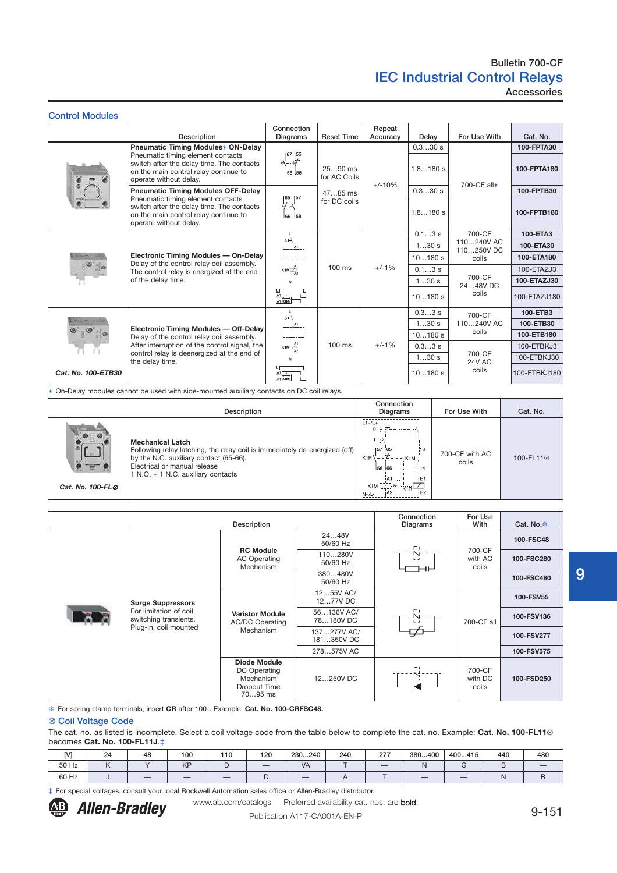Accessories

| <b>Control Modules</b> |                                                                                                                                                                                                |                               |                                                      |                    |                     |                                                                           |                           |
|------------------------|------------------------------------------------------------------------------------------------------------------------------------------------------------------------------------------------|-------------------------------|------------------------------------------------------|--------------------|---------------------|---------------------------------------------------------------------------|---------------------------|
|                        | <b>Description</b>                                                                                                                                                                             | Connection<br>Diagrams        | <b>Reset Time</b>                                    | Repeat<br>Accuracy | Delay               | For Use With                                                              | Cat. No.                  |
|                        | Pneumatic Timing Modules* ON-Delay<br>Pneumatic timing element contacts<br>switch after the delay time. The contacts<br>on the main control relay continue to<br>operate without delay.        | $\frac{1}{2}$<br>68 56        | $2590$ ms<br>for AC Coils<br>4785 ms<br>for DC coils | $+/-10%$           | 0.330 s<br>1.8180 s | 700-CF all*                                                               | 100-FPTA30<br>100-FPTA180 |
|                        | <b>Pneumatic Timing Modules OFF-Delay</b><br>Pneumatic timing element contacts<br>switch after the delay time. The contacts<br>on the main control relay continue to<br>operate without delay. | 65 157<br>66 58               |                                                      |                    | 0.330 s<br>1.8180 s |                                                                           | 100-FPTB30<br>100-FPTB180 |
|                        | Electronic Timing Modules - On-Delay<br>Delay of the control relay coil assembly.<br>The control relay is energized at the end                                                                 | L.<br>$s\rightarrow$<br>K1MLZ | $100$ ms                                             | $+/-1%$            | $0.13$ s            | 700-CF<br>110240V AC<br>110250V DC<br>coils<br>700-CF<br>2448VDC<br>coils | 100-ETA3                  |
|                        |                                                                                                                                                                                                |                               |                                                      |                    | 130s<br>10180 s     |                                                                           | 100-ETA30<br>100-ETA180   |
|                        |                                                                                                                                                                                                |                               |                                                      |                    | $0.13$ s            |                                                                           | 100-ETAZJ3                |
|                        | of the delay time.                                                                                                                                                                             |                               |                                                      |                    | 130s                |                                                                           | 100-ETAZJ30               |
|                        |                                                                                                                                                                                                | A1<br>A1 (K1M)                |                                                      |                    | 10180 s             |                                                                           | 100-ETAZJ180              |
|                        |                                                                                                                                                                                                | $s -$                         |                                                      |                    | $0.33$ s            | 700-CF                                                                    | 100-ETB3                  |
| <b>CONTRACTOR</b>      | Electronic Timing Modules - Off-Delay                                                                                                                                                          |                               |                                                      |                    | 130s                | 110240V AC                                                                | 100-ETB30                 |
|                        | Delay of the control relay coil assembly.                                                                                                                                                      |                               |                                                      |                    | 10180 s             | coils                                                                     | 100-ETB180                |
|                        | After interruption of the control signal, the<br>control relay is deenergized at the end of<br>the delay time.                                                                                 | $K1M\Box$ A1                  | $100$ ms                                             | $+/-1%$            | 0.33 s              | 700-CF<br><b>24V AC</b><br>coils                                          | 100-ETBKJ3                |
|                        |                                                                                                                                                                                                | -N I                          |                                                      |                    | 130s                |                                                                           | 100-ETBKJ30               |
| Cat. No. 100-ETB30     |                                                                                                                                                                                                | A1 (K1M)                      |                                                      |                    | 10180 s             |                                                                           | 100-ETBKJ180              |

✶ On-Delay modules cannot be used with side-mounted auxiliary contacts on DC coil relays.

|                  | <b>Description</b>                                                                                                                                                                                                    | Connection<br><b>Diagrams</b>                                                                                                                         | For Use With            | Cat. No.              |
|------------------|-----------------------------------------------------------------------------------------------------------------------------------------------------------------------------------------------------------------------|-------------------------------------------------------------------------------------------------------------------------------------------------------|-------------------------|-----------------------|
| Cat. No. 100-FL0 | <b>Mechanical Latch</b><br>Following relay latching, the relay coil is immediately de-energized (off)<br>by the N.C. auxiliary contact (65-66).<br>Electrical or manual release<br>1 N.O. + 1 N.C. auxiliary contacts | $L1 - /L +$<br>-EA<br>[57 65<br>13<br>58 66<br>: 14<br>IE1<br>$K1M \stackrel{[AA]}{\overbrace{2\cdots}}$<br>المستشاب<br>AA2<br><b>E2</b><br>$N - / L$ | 700-CF with AC<br>coils | 100-FL11 <sup>®</sup> |

|                                                 | Description                                                          |                           |                     |                            | Cat. No. <sup>฿</sup> |
|-------------------------------------------------|----------------------------------------------------------------------|---------------------------|---------------------|----------------------------|-----------------------|
|                                                 |                                                                      | 2448V<br>50/60 Hz         | FГ                  | 700-CF<br>with AC<br>coils | 100-FSC48             |
|                                                 | <b>RC Module</b><br><b>AC Operating</b><br>Mechanism                 | 110280V<br>50/60 Hz       | -N-<br>$\mathbf{L}$ |                            | 100-FSC280            |
|                                                 |                                                                      | 380480V<br>50/60 Hz       |                     |                            | 100-FSC480            |
| <b>Surge Suppressors</b>                        |                                                                      | 1255V AC/<br>1277V DC     |                     | 700-CF all                 | 100-FSV55             |
| For limitation of coil<br>switching transients. | <b>Varistor Module</b><br><b>AC/DC Operating</b>                     | 56136V AC/<br>78180VDC    |                     |                            | 100-FSV136            |
| Plug-in, coil mounted                           | Mechanism                                                            | 137277V AC/<br>181350V DC |                     |                            | 100-FSV277            |
|                                                 |                                                                      | 278575V AC                |                     |                            | 100-FSV575            |
|                                                 | Diode Module<br>DC Operating<br>Mechanism<br>Dropout Time<br>7095 ms | 12250V DC                 |                     | 700-CF<br>with DC<br>coils | 100-FSD250            |

For spring clamp terminals, insert **CR** after 100-. Example: **Cat. No. 100-CRFSC48.**

#### ⊗ Coil Voltage Code

The cat. no. as listed is incomplete. Select a coil voltage code from the table below to complete the cat. no. Example: **Cat. No. 100-FL11**⊗ becomes **Cat. No. 100-FL11J**.‡

| <b>IVI</b> | 24                         | 48 | 100                      | 110 | 120 | 230240 | 240 | 277 | 380400                   | 400415 | 440            | 480 |
|------------|----------------------------|----|--------------------------|-----|-----|--------|-----|-----|--------------------------|--------|----------------|-----|
| 50 Hz      | $\overline{1}$<br>$\cdots$ |    | <b>IZE</b><br><b>NF</b>  |     |     | VA     |     | $-$ |                          |        |                | $-$ |
| 60 Hz      |                            |    | $\overline{\phantom{a}}$ |     |     |        |     |     | $\overline{\phantom{a}}$ |        | $\blacksquare$ |     |

‡ For special voltages, consult your local Rockwell Automation sales office or Allen-Bradley distributor.



Allen-Bradley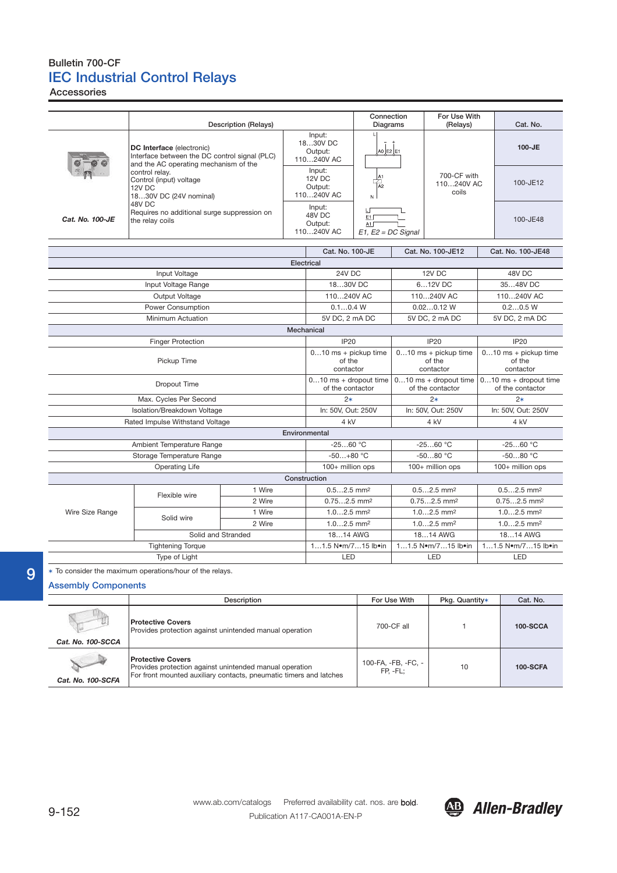Accessories

|                   |                                                                               | <b>Description (Relays)</b>                                                            |  |                                                                                               | Connection<br>Diagrams    |                                             | For Use With<br>(Relays)                      | Cat. No.                                      |  |
|-------------------|-------------------------------------------------------------------------------|----------------------------------------------------------------------------------------|--|-----------------------------------------------------------------------------------------------|---------------------------|---------------------------------------------|-----------------------------------------------|-----------------------------------------------|--|
|                   | DC Interface (electronic)                                                     | Interface between the DC control signal (PLC)<br>and the AC operating mechanism of the |  | Input:<br>1830V DC<br>Output:<br>110240V AC                                                   | L<br>A0 E2 E1             |                                             |                                               | $100 - JE$                                    |  |
|                   | control relay.<br>Control (input) voltage<br>12V DC<br>1830V DC (24V nominal) |                                                                                        |  | Input:<br>12V DC<br>Output:<br>110240V AC                                                     | $\frac{ A1 }{ A2 }$<br>N. |                                             | 700-CF with<br>110240V AC<br>coils            | 100-JE12                                      |  |
| Cat. No. 100-JE   | 48V DC<br>Requires no additional surge suppression on<br>the relay coils      |                                                                                        |  | Input:<br>ப<br>48V <sub>DC</sub><br>E1<br>Output:<br>A1<br>110240V AC<br>$E1, E2 = DC$ Signal |                           |                                             |                                               | 100-JE48                                      |  |
|                   |                                                                               |                                                                                        |  | Cat. No. 100-JE                                                                               |                           |                                             | Cat. No. 100-JE12                             | Cat. No. 100-JE48                             |  |
|                   |                                                                               |                                                                                        |  | Electrical                                                                                    |                           |                                             |                                               |                                               |  |
|                   | Input Voltage                                                                 |                                                                                        |  | 24V DC                                                                                        |                           |                                             | 12V DC                                        | 48V DC                                        |  |
|                   | Input Voltage Range                                                           |                                                                                        |  | 1830V DC                                                                                      |                           |                                             | 612V DC                                       | 3548V DC                                      |  |
|                   | Output Voltage                                                                |                                                                                        |  | 110240V AC                                                                                    |                           | 110240V AC                                  |                                               | 110240V AC                                    |  |
|                   | Power Consumption                                                             |                                                                                        |  | 0.10.4 W                                                                                      |                           | $0.020.12$ W                                |                                               | 0.20.5 W                                      |  |
| Minimum Actuation |                                                                               |                                                                                        |  | 5V DC, 2 mA DC                                                                                |                           |                                             | 5V DC, 2 mA DC                                | 5V DC, 2 mA DC                                |  |
|                   |                                                                               |                                                                                        |  | <b>Mechanical</b>                                                                             |                           |                                             |                                               |                                               |  |
|                   | <b>Finger Protection</b>                                                      |                                                                                        |  | <b>IP20</b>                                                                                   |                           |                                             | <b>IP20</b>                                   | <b>IP20</b>                                   |  |
|                   | Pickup Time                                                                   |                                                                                        |  | $010$ ms + pickup time<br>of the<br>contactor                                                 |                           |                                             | $010$ ms + pickup time<br>of the<br>contactor | $010$ ms + pickup time<br>of the<br>contactor |  |
|                   | Dropout Time                                                                  |                                                                                        |  | $010$ ms + dropout time<br>of the contactor                                                   |                           | $010$ ms + dropout time<br>of the contactor |                                               | $010$ ms + dropout time<br>of the contactor   |  |
|                   | Max. Cycles Per Second                                                        |                                                                                        |  | $2*$                                                                                          |                           | $2*$                                        |                                               | $2*$                                          |  |
|                   | Isolation/Breakdown Voltage                                                   |                                                                                        |  | In: 50V, Out: 250V                                                                            |                           | In: 50V, Out: 250V                          |                                               | In: 50V, Out: 250V                            |  |
|                   | Rated Impulse Withstand Voltage                                               |                                                                                        |  | 4 kV                                                                                          |                           |                                             | 4 kV                                          | 4 kV                                          |  |
|                   |                                                                               |                                                                                        |  | Environmental                                                                                 |                           |                                             |                                               |                                               |  |
|                   | Ambient Temperature Range                                                     |                                                                                        |  | $-2560 °C$                                                                                    |                           |                                             | $-2560 °C$                                    | $-2560 °C$                                    |  |
|                   | Storage Temperature Range                                                     |                                                                                        |  | $-50+80$ °C                                                                                   |                           |                                             | $-5080 °C$                                    | $-5080 °C$                                    |  |
|                   | Operating Life                                                                |                                                                                        |  | 100+ million ops                                                                              |                           |                                             | 100+ million ops                              | 100+ million ops                              |  |
|                   |                                                                               |                                                                                        |  | Construction                                                                                  |                           |                                             |                                               |                                               |  |
|                   | Flexible wire                                                                 | 1 Wire                                                                                 |  | $0.52.5$ mm <sup>2</sup>                                                                      |                           |                                             | $0.52.5$ mm <sup>2</sup>                      | $0.52.5$ mm <sup>2</sup>                      |  |
|                   |                                                                               | 2 Wire                                                                                 |  | $0.752.5$ mm <sup>2</sup>                                                                     |                           |                                             | $0.752.5$ mm <sup>2</sup>                     | $0.752.5$ mm <sup>2</sup>                     |  |
| Wire Size Range   | Solid wire                                                                    | 1 Wire                                                                                 |  | $1.02.5$ mm <sup>2</sup>                                                                      |                           |                                             | $1.02.5$ mm <sup>2</sup>                      | $1.02.5$ mm <sup>2</sup>                      |  |
|                   |                                                                               | 2 Wire                                                                                 |  | $1.02.5$ mm <sup>2</sup>                                                                      |                           |                                             | $1.02.5$ mm <sup>2</sup>                      | $1.02.5$ mm <sup>2</sup>                      |  |
|                   | Solid and Stranded                                                            |                                                                                        |  | 1814 AWG                                                                                      |                           |                                             | 1814 AWG                                      | 1814 AWG                                      |  |
|                   | <b>Tightening Torque</b>                                                      |                                                                                        |  | 11.5 Nom/715 lboin                                                                            |                           |                                             | 11.5 Nom/715 lboin                            | 11.5 Nom/715 lboin                            |  |
|                   | Type of Light                                                                 |                                                                                        |  | LED                                                                                           |                           |                                             | LED                                           | LED                                           |  |

✶ To consider the maximum operations/hour of the relays.

## Assembly Components

|                   | Description                                                                                                                                               | For Use With                      | Pkg. Quantity* | Cat. No.        |
|-------------------|-----------------------------------------------------------------------------------------------------------------------------------------------------------|-----------------------------------|----------------|-----------------|
| Cat. No. 100-SCCA | <b>Protective Covers</b><br>Provides protection against unintended manual operation                                                                       | 700-CF all                        |                | <b>100-SCCA</b> |
| Cat. No. 100-SCFA | <b>Protective Covers</b><br>Provides protection against unintended manual operation<br>For front mounted auxiliary contacts, pneumatic timers and latches | 100-FA, -FB, -FC, -<br>$FP. -FL:$ | 10             | 100-SCFA        |



Allen-Bradley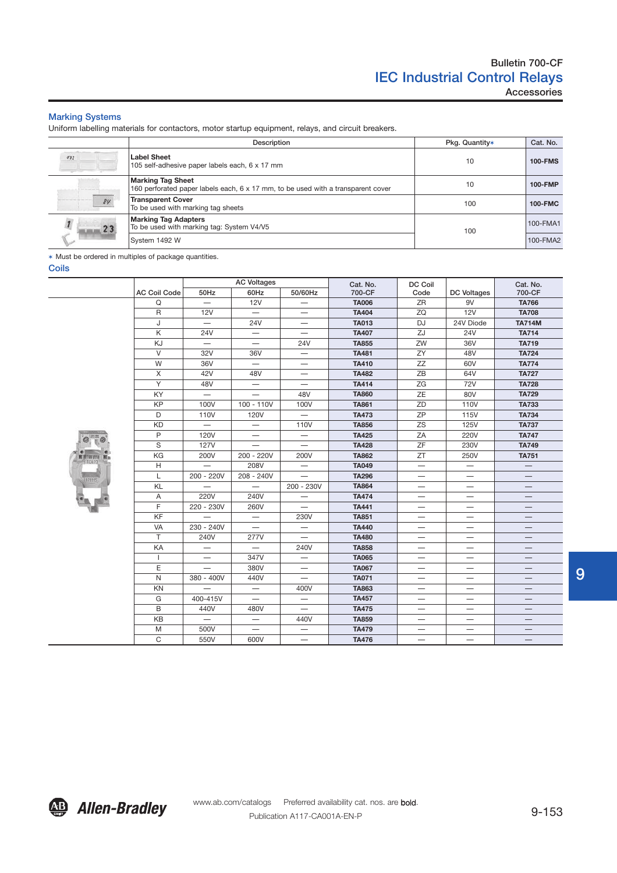## Marking Systems

Uniform labelling materials for contactors, motor startup equipment, relays, and circuit breakers.

|     | Description                                                                                                  | Pkg. Quantity* | Cat. No.       |
|-----|--------------------------------------------------------------------------------------------------------------|----------------|----------------|
| 432 | <b>Label Sheet</b><br>105 self-adhesive paper labels each, 6 x 17 mm                                         | 10             | <b>100-FMS</b> |
| 84  | <b>Marking Tag Sheet</b><br>160 perforated paper labels each, 6 x 17 mm, to be used with a transparent cover | 10             | 100-FMP        |
|     | <b>Transparent Cover</b><br>To be used with marking tag sheets                                               | 100            | <b>100-FMC</b> |
| 23  | <b>Marking Tag Adapters</b><br>To be used with marking tag: System V4/V5                                     | 100            | 100-FMA1       |
|     | System 1492 W                                                                                                |                | 100-FMA2       |

✶ Must be ordered in multiples of package quantities.

Coils



|                     |                          | <b>AC Voltages</b>       |                          | Cat. No.     | DC Coil   |                          | Cat. No.      |
|---------------------|--------------------------|--------------------------|--------------------------|--------------|-----------|--------------------------|---------------|
| <b>AC Coil Code</b> | 50Hz                     | 60Hz                     | 50/60Hz                  | 700-CF       | Code      | <b>DC Voltages</b>       | 700-CF        |
| Q                   |                          | <b>12V</b>               | —                        | <b>TA006</b> | ZR        | 9V                       | <b>TA766</b>  |
| $\mathsf R$         | <b>12V</b>               | $\overline{\phantom{0}}$ | —                        | <b>TA404</b> | ZQ        | 12V                      | <b>TA708</b>  |
| J                   | —                        | <b>24V</b>               | —                        | <b>TA013</b> | <b>DJ</b> | 24V Diode                | <b>TA714M</b> |
| Κ                   | 24V                      |                          |                          | <b>TA407</b> | ZJ        | <b>24V</b>               | <b>TA714</b>  |
| KJ                  |                          | $\qquad \qquad -$        | <b>24V</b>               | <b>TA855</b> | ZW        | 36V                      | <b>TA719</b>  |
| $\vee$              | 32V                      | 36V                      | —                        | <b>TA481</b> | ZY        | 48V                      | <b>TA724</b>  |
| W                   | 36V                      | $\overline{\phantom{0}}$ | -                        | <b>TA410</b> | ZZ        | 60V                      | <b>TA774</b>  |
| X                   | 42V                      | 48V                      |                          | <b>TA482</b> | ZB        | 64V                      | <b>TA727</b>  |
| Y                   | 48V                      |                          |                          | <b>TA414</b> | ZG        | 72V                      | <b>TA728</b>  |
| KY                  | $\overline{\phantom{0}}$ |                          | 48V                      | <b>TA860</b> | ZE        | 80V                      | <b>TA729</b>  |
| KP                  | 100V                     | $100 - 110V$             | 100V                     | <b>TA861</b> | ZD        | 110V                     | <b>TA733</b>  |
| D                   | 110V                     | 120V                     |                          | <b>TA473</b> | ZP        | 115V                     | <b>TA734</b>  |
| KD                  |                          |                          | 110V                     | <b>TA856</b> | ZS        | 125V                     | <b>TA737</b>  |
| P                   | 120V                     |                          | —                        | <b>TA425</b> | ZA        | 220V                     | <b>TA747</b>  |
| S                   | <b>127V</b>              | $\overline{\phantom{0}}$ | $\overline{\phantom{0}}$ | <b>TA428</b> | ZF        | 230V                     | <b>TA749</b>  |
| KG                  | 200V                     | 200 - 220V               | 200V                     | <b>TA862</b> | ΖT        | 250V                     | <b>TA751</b>  |
| Н                   |                          | 208V                     | —                        | <b>TA049</b> |           | —                        |               |
| L                   | 200 - 220V               | 208 - 240V               | $\overline{\phantom{0}}$ | <b>TA296</b> | —         | —                        |               |
| KL                  |                          | $\overline{\phantom{0}}$ | 200 - 230V               | <b>TA864</b> | —         | -                        |               |
| Α                   | 220V                     | 240V                     |                          | <b>TA474</b> |           |                          |               |
| F                   | 220 - 230V               | 260V                     |                          | <b>TA441</b> |           |                          |               |
| KF                  |                          |                          | 230V                     | <b>TA851</b> |           |                          |               |
| VA                  | 230 - 240V               |                          | $\overline{\phantom{0}}$ | <b>TA440</b> |           |                          |               |
| $\top$              | 240V                     | 277V                     |                          | <b>TA480</b> | —         | —                        |               |
| KA                  | —                        |                          | 240V                     | <b>TA858</b> | —         | -                        |               |
| $\mathbf{I}$        | —                        | 347V                     | $\overline{\phantom{0}}$ | <b>TA065</b> | —         |                          |               |
| Е                   |                          | 380V                     | $\overline{\phantom{0}}$ | <b>TA067</b> |           |                          |               |
| $\mathsf{N}$        | 380 - 400V               | 440V                     |                          | <b>TA071</b> | -         | -                        |               |
| <b>KN</b>           |                          |                          | 400V                     | <b>TA863</b> |           | -                        |               |
| G                   | 400-415V                 |                          |                          | <b>TA457</b> |           |                          |               |
| B                   | 440V                     | 480V                     |                          | <b>TA475</b> |           | $\overline{\phantom{0}}$ |               |
| KB                  | $\overline{\phantom{0}}$ | —                        | 440V                     | <b>TA859</b> |           |                          |               |
| M                   | 500V                     |                          |                          | <b>TA479</b> |           |                          |               |
| $\mathsf{C}$        | 550V                     | 600V                     |                          | <b>TA476</b> |           |                          |               |

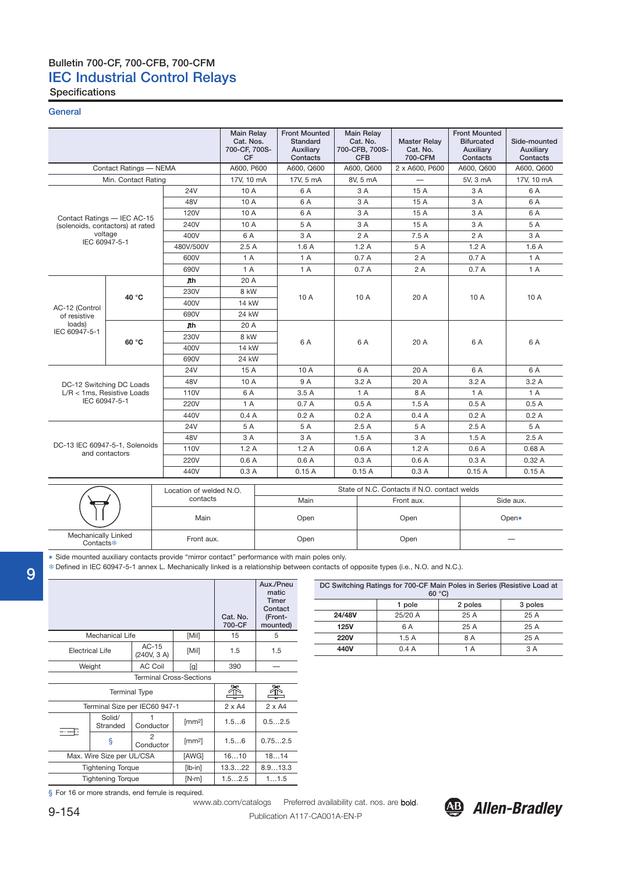# Bulletin 700-CF, 700-CFB, 700-CFM IEC Industrial Control Relays

Specifications

## **General**

|                                                  |                        |                                     | <b>Main Relay</b><br>Cat. Nos.<br>700-CF, 700S-<br><b>CF</b> | <b>Front Mounted</b><br><b>Standard</b><br>Auxiliary<br>Contacts | <b>Main Relay</b><br>Cat. No.<br>700-CFB, 700S-<br><b>CFB</b> | <b>Master Relay</b><br>Cat. No.<br>700-CFM   | <b>Front Mounted</b><br><b>Bifurcated</b><br>Auxiliary<br>Contacts | Side-mounted<br>Auxiliary<br>Contacts |  |
|--------------------------------------------------|------------------------|-------------------------------------|--------------------------------------------------------------|------------------------------------------------------------------|---------------------------------------------------------------|----------------------------------------------|--------------------------------------------------------------------|---------------------------------------|--|
|                                                  | Contact Ratings - NEMA |                                     | A600, P600                                                   | A600, Q600                                                       | A600, Q600                                                    | 2 x A600, P600                               | A600, Q600                                                         | A600, Q600                            |  |
|                                                  | Min. Contact Rating    |                                     | 17V, 10 mA                                                   | 17V, 5 mA<br>8V, 5 mA                                            |                                                               | $\overbrace{\phantom{1232211}}$              | 5V, 3 mA                                                           | 17V, 10 mA                            |  |
|                                                  |                        | <b>24V</b>                          | 10 A                                                         | 6 A                                                              | 3 A                                                           | 15 A                                         | 3 A                                                                | 6 A                                   |  |
|                                                  |                        | 48V                                 | 10 A                                                         | 6 A                                                              | 3 A                                                           | 15 A                                         | 3 A                                                                | 6 A                                   |  |
| Contact Ratings - IEC AC-15                      |                        | <b>120V</b>                         | 10 A                                                         | 6 A                                                              | 3 A                                                           | 15 A                                         | 3 A                                                                | 6 A                                   |  |
| (solenoids, contactors) at rated                 |                        | 240V                                | 10 A                                                         | 5 A                                                              | 3 A                                                           | 15 A                                         | 3 A                                                                | 5 A                                   |  |
| voltage                                          |                        | 400V                                | 6 A                                                          | 3 A                                                              | 2 A                                                           | 7.5A                                         | 2 A                                                                | 3 A                                   |  |
| IEC 60947-5-1                                    |                        | 480V/500V                           | 2.5A                                                         | 1.6A                                                             | 1.2A                                                          | 5 A                                          | 1.2A                                                               | 1.6A                                  |  |
|                                                  |                        | 600V                                | 1 A                                                          | 1 A                                                              | 0.7A                                                          | 2A                                           | 0.7A                                                               | 1A                                    |  |
|                                                  |                        | 690V                                | 1 A                                                          | 1 A                                                              | 0.7A                                                          | 2 A                                          | 0.7A                                                               | 1 A                                   |  |
|                                                  |                        | <b>n</b> th                         | 20 A                                                         |                                                                  |                                                               |                                              |                                                                    |                                       |  |
| 40 °C                                            |                        | 230V                                | 8 kW                                                         | 10 A                                                             | 10 A                                                          | 20 A                                         | 10 A                                                               | 10 A                                  |  |
| AC-12 (Control                                   |                        | 400V                                | 14 kW                                                        |                                                                  |                                                               |                                              |                                                                    |                                       |  |
| of resistive<br>loads)<br>IEC 60947-5-1          |                        | 690V                                | 24 kW                                                        |                                                                  |                                                               |                                              |                                                                    |                                       |  |
|                                                  |                        | <b>Jth</b>                          | 20 A                                                         |                                                                  |                                                               |                                              |                                                                    |                                       |  |
|                                                  | 60 °C                  | 230V                                | 8 kW                                                         | 6 A                                                              | 6 A                                                           | 20 A                                         | 6 A                                                                | 6 A                                   |  |
|                                                  |                        | 400V                                | <b>14 kW</b>                                                 |                                                                  |                                                               |                                              |                                                                    |                                       |  |
|                                                  |                        | 690V                                | 24 kW                                                        |                                                                  |                                                               |                                              |                                                                    |                                       |  |
|                                                  |                        | <b>24V</b>                          | 15 A                                                         | 10 A                                                             | 6 A                                                           | 20A                                          | 6 A                                                                | 6 A                                   |  |
| DC-12 Switching DC Loads                         |                        | 48V                                 | 10 A                                                         | 9 A                                                              | 3.2A                                                          | 20 A                                         | 3.2A                                                               | 3.2A                                  |  |
| $L/R < 1$ ms, Resistive Loads                    |                        | 110V                                | 6 A                                                          | 3.5A                                                             | 1A                                                            | 8 A                                          | 1A                                                                 | 1 A                                   |  |
| IEC 60947-5-1                                    |                        | 220V                                | 1A                                                           | 0.7A                                                             | 0.5A                                                          | 1.5A                                         | 0.5A                                                               | 0.5A                                  |  |
|                                                  |                        | 440V                                | 0.4A                                                         | 0.2A                                                             | 0.2A                                                          | 0.4A                                         | 0.2A                                                               | 0.2A                                  |  |
|                                                  |                        | <b>24V</b>                          | 5 A                                                          | 5 A                                                              | 2.5A                                                          | 5 A                                          | 2.5A                                                               | 5 A                                   |  |
|                                                  |                        | 48V                                 | 3 A                                                          | 3 A                                                              | 1.5A                                                          | 3 A                                          | 1.5A                                                               | 2.5A                                  |  |
| DC-13 IEC 60947-5-1, Solenoids<br>and contactors |                        | 110V                                | 1.2A                                                         | 1.2A                                                             | 0.6A                                                          | 1.2A                                         | 0.6A                                                               | 0.68A                                 |  |
|                                                  |                        | 220V                                | 0.6A                                                         | 0.6A                                                             | 0.3A                                                          | 0.6A                                         | 0.3A                                                               | 0.32A                                 |  |
|                                                  |                        | 440V                                | 0.3A                                                         | 0.15A                                                            | 0.15A                                                         | 0.3A                                         | 0.15A                                                              | 0.15A                                 |  |
|                                                  |                        |                                     |                                                              |                                                                  |                                                               | State of N.C. Contacts if N.O. contact welds |                                                                    |                                       |  |
|                                                  |                        | Location of welded N.O.<br>contacts |                                                              | Main                                                             |                                                               | Front aux.                                   |                                                                    | Side aux.                             |  |
|                                                  |                        | Main                                |                                                              | Open                                                             |                                                               | Open                                         |                                                                    | Open*                                 |  |
| Mechanically Linked<br>Contacts <sup></sup>      |                        | Front aux.                          |                                                              | Open                                                             |                                                               | Open                                         |                                                                    |                                       |  |

9

✶ Side mounted auxiliary contacts provide "mirror contact" performance with main poles only.

Defined in IEC 60947-5-1 annex L. Mechanically linked is a relationship between contacts of opposite types (i.e., N.O. and N.C.).

|                          |                           |                                |                 | Cat. No.<br>700-CF | Aux./Pneu<br>matic<br><b>Timer</b><br>Contact<br>(Front-<br>mounted) |
|--------------------------|---------------------------|--------------------------------|-----------------|--------------------|----------------------------------------------------------------------|
|                          | Mechanical Life           |                                | [Mil]           | 15                 | 5                                                                    |
|                          | Electrical Life           | $AC-15$<br>(240V, 3 A)         | [Mil]           | 1.5                | 1.5                                                                  |
| <b>AC Coil</b><br>Weight |                           |                                | [g]             | 390                |                                                                      |
|                          |                           | <b>Terminal Cross-Sections</b> |                 |                    |                                                                      |
|                          |                           | <b>Terminal Type</b>           |                 |                    |                                                                      |
|                          |                           | Terminal Size per IEC60 947-1  |                 | $2 \times A4$      | $2 \times A4$                                                        |
| ---                      | Solid/<br>Stranded        | Conductor                      | [mm2]           | 1.56               | 0.52.5                                                               |
|                          | ş                         | 2<br>Conductor                 | $\text{[mm2]}$  | 1.56               | 0.752.5                                                              |
|                          | Max. Wire Size per UL/CSA |                                | [AWG]           | 1610               | 1814                                                                 |
|                          | <b>Tightening Torque</b>  |                                | $[lb \cdot in]$ | 8.913.3<br>13.322  |                                                                      |
|                          | <b>Tightening Torque</b>  |                                | $[N-m]$         | 1.52.5             | 11.5                                                                 |

|             | DC Switching Ratings for 700-CF Main Poles in Series (Resistive Load at<br>60 °C |      |      |  |  |  |  |  |
|-------------|----------------------------------------------------------------------------------|------|------|--|--|--|--|--|
|             | 2 poles<br>3 poles<br>1 pole                                                     |      |      |  |  |  |  |  |
| 24/48V      | 25/20 A                                                                          | 25 A | 25 A |  |  |  |  |  |
| <b>125V</b> | 6 A                                                                              | 25 A | 25 A |  |  |  |  |  |
| <b>220V</b> | 1.5A                                                                             | 8 A  | 25 A |  |  |  |  |  |
| 440V        | 0.4A                                                                             | 1 A  | 3 A  |  |  |  |  |  |
|             |                                                                                  |      |      |  |  |  |  |  |

§ For 16 or more strands, end ferrule is required.

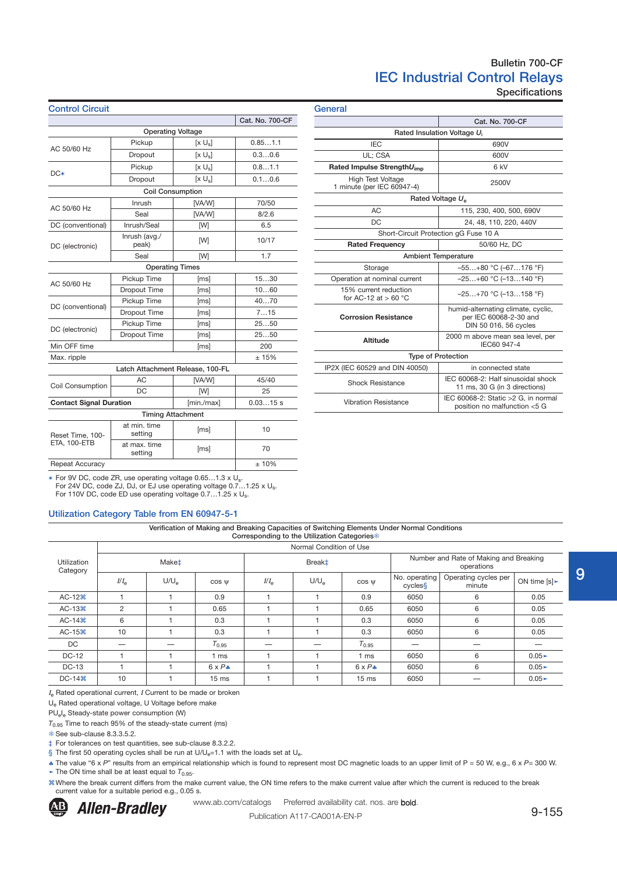# Bulletin 700-CF IEC Industrial Control Relays Specifications

| <b>Control Circuit</b>                   |                         |                                  |                 | General  |
|------------------------------------------|-------------------------|----------------------------------|-----------------|----------|
|                                          |                         |                                  | Cat. No. 700-CF |          |
|                                          |                         | <b>Operating Voltage</b>         |                 |          |
| AC 50/60 Hz                              | Pickup                  | $[x \cup_{s}]$                   | 0.851.1         |          |
|                                          | Dropout                 | [x U <sub>s</sub> ]              | 0.30.6          |          |
|                                          | Pickup                  | [x U <sub>s</sub> ]              | 0.81.1          | Rateo    |
| $DC*$                                    | Dropout                 | $[x U_s]$                        | 0.10.6          |          |
|                                          |                         | <b>Coil Consumption</b>          |                 | 1 mi     |
|                                          | Inrush                  | [VA/W]                           | 70/50           |          |
| AC 50/60 Hz                              | Seal                    | [VA/W]                           | 8/2.6           |          |
| DC (conventional)                        | Inrush/Seal             | [W]                              | 6.5             |          |
| DC (electronic)                          | Inrush (avg./<br>peak)  | [W]                              | 10/17           |          |
|                                          | Seal                    | [W]                              | 1.7             |          |
|                                          |                         | <b>Operating Times</b>           |                 |          |
| AC 50/60 Hz                              | Pickup Time             | [ms]                             | 1530            | Oper     |
|                                          | <b>Dropout Time</b>     | [ms]                             | 1060            | 15       |
|                                          | Pickup Time             | [ms]                             | 4070            | f        |
| DC (conventional)                        | <b>Dropout Time</b>     | [ms]                             | 715             | C٥       |
|                                          | Pickup Time             | [ms]                             | 2550            |          |
| DC (electronic)                          | Dropout Time            | [ms]                             | 2550            |          |
| Min OFF time                             |                         | [ms]                             | 200             |          |
| Max. ripple                              |                         |                                  | ± 15%           |          |
|                                          |                         | Latch Attachment Release, 100-FL |                 | IP2X (II |
|                                          | <b>AC</b>               | [VA/W]                           | 45/40           |          |
| Coil Consumption                         | <b>DC</b>               | [W]                              | 25              |          |
| <b>Contact Signal Duration</b>           |                         | [min./max]                       | 0.0315 s        | Ι        |
|                                          |                         | <b>Timing Attachment</b>         |                 |          |
| Reset Time, 100-                         | at min. time<br>setting | [ms]                             | 10              |          |
| ETA, 100-ETB                             | at max. time<br>setting | [ms]                             | 70              |          |
| Repeat Accuracy                          |                         |                                  | ±10%            |          |
| $F - M$<br>$\overline{1}$ $\overline{7}$ |                         | $0.05 - 4.011$<br>$-14 - 1$      |                 |          |

| General                                                |                                                                                                                                                                                                                                                                                                                                      |  |  |  |  |  |
|--------------------------------------------------------|--------------------------------------------------------------------------------------------------------------------------------------------------------------------------------------------------------------------------------------------------------------------------------------------------------------------------------------|--|--|--|--|--|
|                                                        |                                                                                                                                                                                                                                                                                                                                      |  |  |  |  |  |
| Rated Insulation Voltage U <sub>i</sub>                |                                                                                                                                                                                                                                                                                                                                      |  |  |  |  |  |
| <b>IEC</b>                                             | Cat. No. 700-CF<br>690V<br>600V<br>6 kV<br>2500V<br>115, 230, 400, 500, 690V<br>24, 48, 110, 220, 440V<br>50/60 Hz, DC<br>$-55+80$ °C (-67176 °F)<br>$-25+60$ °C (-13140 °F)<br>$-25+70$ °C (-13158 °F)<br>humid-alternating climate, cyclic,<br>per IEC 60068-2-30 and<br>DIN 50 016, 56 cycles<br>2000 m above mean sea level, per |  |  |  |  |  |
| UL: CSA                                                |                                                                                                                                                                                                                                                                                                                                      |  |  |  |  |  |
| Rated Impulse StrengthU <sub>imp</sub>                 |                                                                                                                                                                                                                                                                                                                                      |  |  |  |  |  |
| <b>High Test Voltage</b><br>1 minute (per IEC 60947-4) |                                                                                                                                                                                                                                                                                                                                      |  |  |  |  |  |
|                                                        |                                                                                                                                                                                                                                                                                                                                      |  |  |  |  |  |
| AC                                                     | Rated Voltage U <sub>e</sub><br>IEC60 947-4<br>in connected state<br>IEC 60068-2: Half sinusoidal shock<br>11 ms, 30 G (in 3 directions)<br>IEC 60068-2: Static >2 G, in normal                                                                                                                                                      |  |  |  |  |  |
| DC                                                     |                                                                                                                                                                                                                                                                                                                                      |  |  |  |  |  |
| Short-Circuit Protection gG Fuse 10 A                  |                                                                                                                                                                                                                                                                                                                                      |  |  |  |  |  |
| <b>Rated Frequency</b>                                 |                                                                                                                                                                                                                                                                                                                                      |  |  |  |  |  |
| <b>Ambient Temperature</b>                             |                                                                                                                                                                                                                                                                                                                                      |  |  |  |  |  |
| Storage                                                |                                                                                                                                                                                                                                                                                                                                      |  |  |  |  |  |
| Operation at nominal current                           |                                                                                                                                                                                                                                                                                                                                      |  |  |  |  |  |
| 15% current reduction<br>for AC-12 at $> 60 °C$        |                                                                                                                                                                                                                                                                                                                                      |  |  |  |  |  |
| <b>Corrosion Resistance</b>                            |                                                                                                                                                                                                                                                                                                                                      |  |  |  |  |  |
| Altitude                                               |                                                                                                                                                                                                                                                                                                                                      |  |  |  |  |  |
| <b>Type of Protection</b>                              |                                                                                                                                                                                                                                                                                                                                      |  |  |  |  |  |
| IP2X (IEC 60529 and DIN 40050)                         |                                                                                                                                                                                                                                                                                                                                      |  |  |  |  |  |
| <b>Shock Resistance</b>                                |                                                                                                                                                                                                                                                                                                                                      |  |  |  |  |  |
| <b>Vibration Resistance</b>                            | position no malfunction <5 G                                                                                                                                                                                                                                                                                                         |  |  |  |  |  |

✶ For 9V DC, code ZR, use operating voltage 0.65…1.3 x U<sup>s</sup> . For 24V DC, code ZJ, DJ, or EJ use operating voltage 0.7…1.25 x U<sup>s</sup> . For 110V DC, code ED use operating voltage 0.7...1.25 x U<sub>s</sub>.

### Utilization Category Table from EN 60947-5-1

Verification of Making and Breaking Capacities of Switching Elements Under Normal Conditions Corresponding to the Utilization Categories

|                         |                          | Normal Condition of Use |                  |                    |               |                  |                                                      |                                |               |  |  |  |
|-------------------------|--------------------------|-------------------------|------------------|--------------------|---------------|------------------|------------------------------------------------------|--------------------------------|---------------|--|--|--|
| Utilization<br>Category | <b>Make</b> <sup>+</sup> |                         |                  | Break <sup>±</sup> |               |                  | Number and Rate of Making and Breaking<br>operations |                                |               |  |  |  |
|                         | $I/I_{\rm e}$            | U/U <sub>e</sub>        | $\cos \Psi$      | $I/I_{\rm e}$      | $U/U_{\rm e}$ | $\cos w$         | No. operating<br>cycless                             | Operating cycles per<br>minute | ON time $[s]$ |  |  |  |
| $AC-12H$                |                          |                         | 0.9              |                    |               | 0.9              | 6050                                                 | 6                              | 0.05          |  |  |  |
| $AC-13H$                | 2                        |                         | 0.65             |                    |               | 0.65             | 6050                                                 | 6                              | 0.05          |  |  |  |
| $AC-14H$                | 6                        |                         | 0.3              |                    |               | 0.3              | 6050                                                 | 6                              | 0.05          |  |  |  |
| $AC-15H$                | 10                       |                         | 0.3              |                    |               | 0.3              | 6050                                                 | 6                              | 0.05          |  |  |  |
| DC                      |                          |                         | $T_{0.95}$       |                    |               | $T_{0.95}$       | --                                                   |                                |               |  |  |  |
| <b>DC-12</b>            |                          |                         | 1 ms             |                    |               | 1 ms             | 6050                                                 | 6                              | $0.05 -$      |  |  |  |
| <b>DC-13</b>            |                          |                         | $6 \times P$ +   |                    |               | $6 \times P$ +   | 6050                                                 | 6                              | $0.05 -$      |  |  |  |
| $DC-14H$                | 10                       |                         | 15 <sub>ms</sub> |                    |               | 15 <sub>ms</sub> | 6050                                                 |                                | $0.05 -$      |  |  |  |

 $I<sub>e</sub>$  Rated operational current, I Current to be made or broken

U<sup>e</sup> Rated operational voltage, U Voltage before make

PU<sub>e</sub>l<sub>e</sub> Steady-state power consumption (W)

*T*0.95 Time to reach 95% of the steady-state current (ms)

<sup>**<sup>8</sup>** See sub-clause 8.3.3.5.2.</sup>

‡ For tolerances on test quantities, see sub-clause 8.3.2.2.

§ The first 50 operating cycles shall be run at  $U/U<sub>e</sub>=1.1$  with the loads set at  $U<sub>e</sub>$ .

♣ The value "6 x *P*" results from an empirical relationship which is found to represent most DC magnetic loads to an upper limit of P = 50 W, e.g., 6 x *P*= 300 W.

 $\blacktriangleright$  The ON time shall be at least equal to  $T_{0.95}$ .

**Allen-Bradley** 

!Where the break current differs from the make current value, the ON time refers to the make current value after which the current is reduced to the break current value for a suitable period e.g., 0.05 s.

www.ab.com/catalogs Preferred availability cat. nos. are bold.